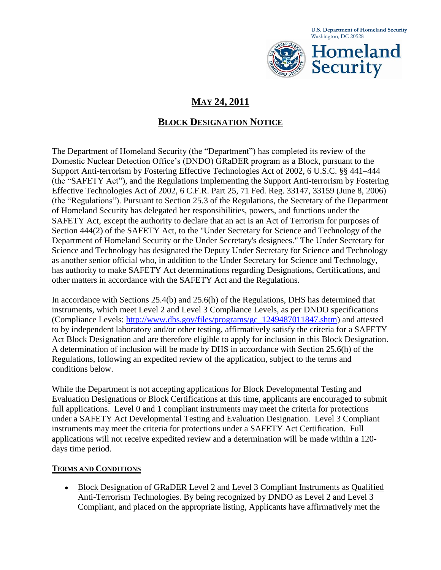**U.S. Department of Homeland Security**  Washington, DC 20528



# **MAY 24, 2011**

## **BLOCK DESIGNATION NOTICE**

The Department of Homeland Security (the "Department") has completed its review of the Domestic Nuclear Detection Office's (DNDO) GRaDER program as a Block, pursuant to the Support Anti-terrorism by Fostering Effective Technologies Act of 2002, 6 U.S.C. §§ 441–444 (the "SAFETY Act"), and the Regulations Implementing the Support Anti-terrorism by Fostering Effective Technologies Act of 2002, 6 C.F.R. Part 25, 71 Fed. Reg. 33147, 33159 (June 8, 2006) (the "Regulations"). Pursuant to Section 25.3 of the Regulations, the Secretary of the Department of Homeland Security has delegated her responsibilities, powers, and functions under the SAFETY Act, except the authority to declare that an act is an Act of Terrorism for purposes of Section 444(2) of the SAFETY Act, to the "Under Secretary for Science and Technology of the Department of Homeland Security or the Under Secretary's designees." The Under Secretary for Science and Technology has designated the Deputy Under Secretary for Science and Technology as another senior official who, in addition to the Under Secretary for Science and Technology, has authority to make SAFETY Act determinations regarding Designations, Certifications, and other matters in accordance with the SAFETY Act and the Regulations.

In accordance with Sections 25.4(b) and 25.6(h) of the Regulations, DHS has determined that instruments, which meet Level 2 and Level 3 Compliance Levels, as per DNDO specifications (Compliance Levels: [http://www.dhs.gov/files/programs/gc\\_1249487011847.shtm\)](http://www.dhs.gov/files/programs/gc_1249487011847.shtm) and attested to by independent laboratory and/or other testing, affirmatively satisfy the criteria for a SAFETY Act Block Designation and are therefore eligible to apply for inclusion in this Block Designation. A determination of inclusion will be made by DHS in accordance with Section 25.6(h) of the Regulations, following an expedited review of the application, subject to the terms and conditions below.

While the Department is not accepting applications for Block Developmental Testing and Evaluation Designations or Block Certifications at this time, applicants are encouraged to submit full applications. Level 0 and 1 compliant instruments may meet the criteria for protections under a SAFETY Act Developmental Testing and Evaluation Designation. Level 3 Compliant instruments may meet the criteria for protections under a SAFETY Act Certification. Full applications will not receive expedited review and a determination will be made within a 120 days time period.

#### **TERMS AND CONDITIONS**

Block Designation of GRaDER Level 2 and Level 3 Compliant Instruments as Qualified Anti-Terrorism Technologies. By being recognized by DNDO as Level 2 and Level 3 Compliant, and placed on the appropriate listing, Applicants have affirmatively met the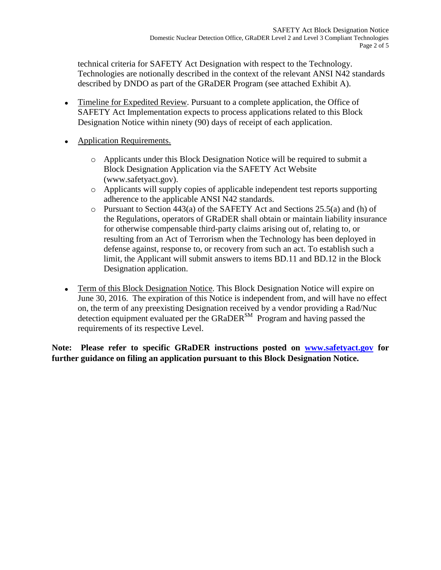technical criteria for SAFETY Act Designation with respect to the Technology. Technologies are notionally described in the context of the relevant ANSI N42 standards described by DNDO as part of the GRaDER Program (see attached Exhibit A).

- Timeline for Expedited Review. Pursuant to a complete application, the Office of SAFETY Act Implementation expects to process applications related to this Block Designation Notice within ninety (90) days of receipt of each application.
- Application Requirements.
	- o Applicants under this Block Designation Notice will be required to submit a Block Designation Application via the SAFETY Act Website (www.safetyact.gov).
	- o Applicants will supply copies of applicable independent test reports supporting adherence to the applicable ANSI N42 standards.
	- o Pursuant to Section 443(a) of the SAFETY Act and Sections 25.5(a) and (h) of the Regulations, operators of GRaDER shall obtain or maintain liability insurance for otherwise compensable third-party claims arising out of, relating to, or resulting from an Act of Terrorism when the Technology has been deployed in defense against, response to, or recovery from such an act. To establish such a limit, the Applicant will submit answers to items BD.11 and BD.12 in the Block Designation application.
- Term of this Block Designation Notice. This Block Designation Notice will expire on  $\bullet$ June 30, 2016. The expiration of this Notice is independent from, and will have no effect on, the term of any preexisting Designation received by a vendor providing a Rad/Nuc detection equipment evaluated per the GRaDER $^{SM}$  Program and having passed the requirements of its respective Level.

**Note: Please refer to specific GRaDER instructions posted on [www.safetyact.gov](http://www.safetyact.gov/) for further guidance on filing an application pursuant to this Block Designation Notice.**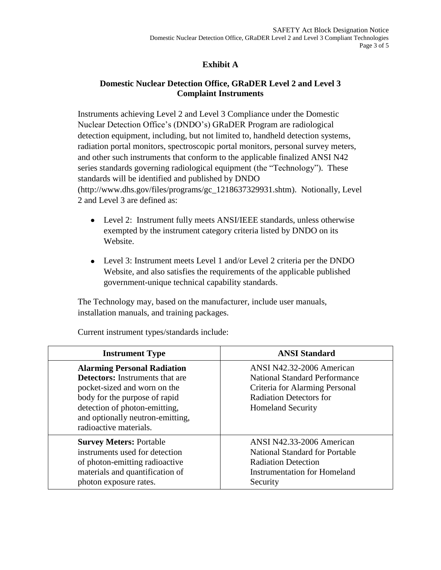### **Exhibit A**

### **Domestic Nuclear Detection Office, GRaDER Level 2 and Level 3 Complaint Instruments**

Instruments achieving Level 2 and Level 3 Compliance under the Domestic Nuclear Detection Office's (DNDO's) GRaDER Program are radiological detection equipment, including, but not limited to, handheld detection systems, radiation portal monitors, spectroscopic portal monitors, personal survey meters, and other such instruments that conform to the applicable finalized ANSI N42 series standards governing radiological equipment (the "Technology"). These standards will be identified and published by DNDO (http://www.dhs.gov/files/programs/gc\_1218637329931.shtm). Notionally, Level 2 and Level 3 are defined as:

- Level 2: Instrument fully meets ANSI/IEEE standards, unless otherwise exempted by the instrument category criteria listed by DNDO on its Website.
- Level 3: Instrument meets Level 1 and/or Level 2 criteria per the DNDO Website, and also satisfies the requirements of the applicable published government-unique technical capability standards.

The Technology may, based on the manufacturer, include user manuals, installation manuals, and training packages.

| <b>Instrument Type</b>                                                                                                                                                                                                                       | <b>ANSI Standard</b>                                                                                                                                              |
|----------------------------------------------------------------------------------------------------------------------------------------------------------------------------------------------------------------------------------------------|-------------------------------------------------------------------------------------------------------------------------------------------------------------------|
| <b>Alarming Personal Radiation</b><br><b>Detectors:</b> Instruments that are<br>pocket-sized and worn on the<br>body for the purpose of rapid<br>detection of photon-emitting,<br>and optionally neutron-emitting,<br>radioactive materials. | ANSI N42.32-2006 American<br><b>National Standard Performance</b><br>Criteria for Alarming Personal<br><b>Radiation Detectors for</b><br><b>Homeland Security</b> |
| <b>Survey Meters: Portable</b><br>instruments used for detection<br>of photon-emitting radioactive<br>materials and quantification of<br>photon exposure rates.                                                                              | ANSI N42.33-2006 American<br><b>National Standard for Portable</b><br><b>Radiation Detection</b><br><b>Instrumentation for Homeland</b><br>Security               |

Current instrument types/standards include: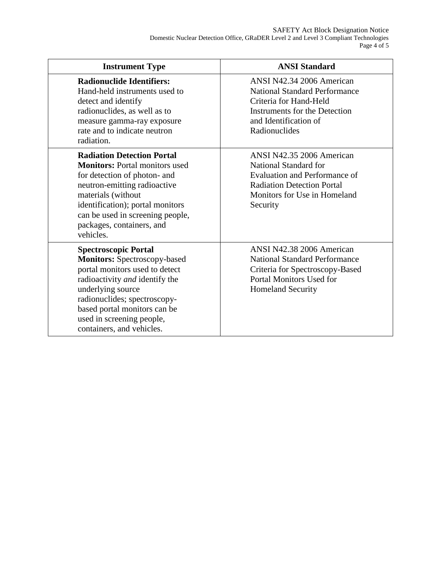| <b>Instrument Type</b>                                                                                                                                                                                                                                                                | <b>ANSI Standard</b>                                                                                                                                                          |
|---------------------------------------------------------------------------------------------------------------------------------------------------------------------------------------------------------------------------------------------------------------------------------------|-------------------------------------------------------------------------------------------------------------------------------------------------------------------------------|
| <b>Radionuclide Identifiers:</b><br>Hand-held instruments used to<br>detect and identify<br>radionuclides, as well as to<br>measure gamma-ray exposure<br>rate and to indicate neutron<br>radiation.                                                                                  | ANSI N42.34 2006 American<br><b>National Standard Performance</b><br>Criteria for Hand-Held<br><b>Instruments for the Detection</b><br>and Identification of<br>Radionuclides |
| <b>Radiation Detection Portal</b><br><b>Monitors:</b> Portal monitors used<br>for detection of photon- and<br>neutron-emitting radioactive<br>materials (without<br>identification); portal monitors<br>can be used in screening people,<br>packages, containers, and<br>vehicles.    | ANSI N42.35 2006 American<br>National Standard for<br>Evaluation and Performance of<br><b>Radiation Detection Portal</b><br>Monitors for Use in Homeland<br>Security          |
| <b>Spectroscopic Portal</b><br><b>Monitors:</b> Spectroscopy-based<br>portal monitors used to detect<br>radioactivity and identify the<br>underlying source<br>radionuclides; spectroscopy-<br>based portal monitors can be<br>used in screening people,<br>containers, and vehicles. | ANSI N42.38 2006 American<br><b>National Standard Performance</b><br>Criteria for Spectroscopy-Based<br>Portal Monitors Used for<br><b>Homeland Security</b>                  |